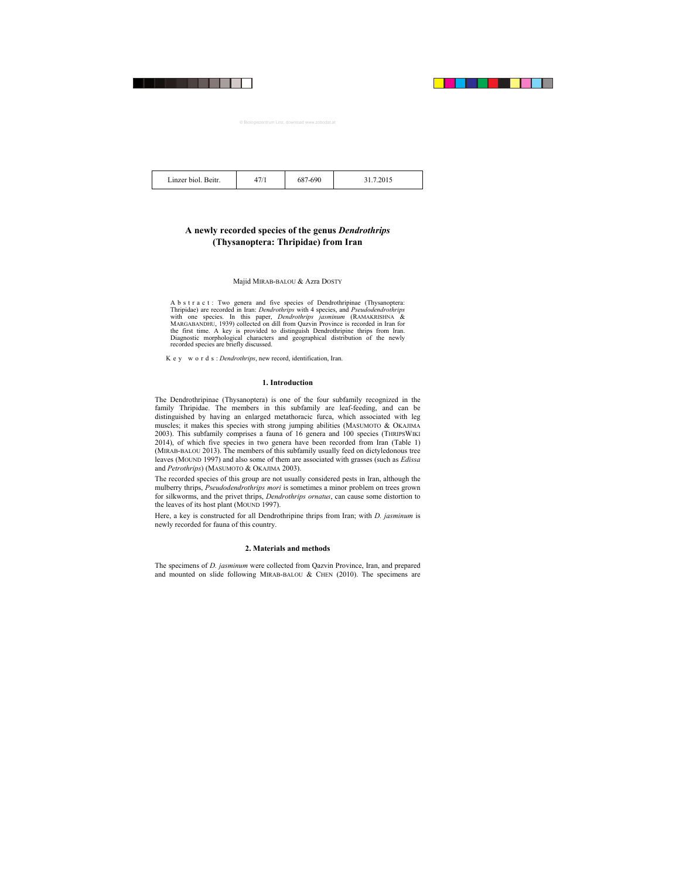47/1 687-690 31.7.2015

# **A newly recorded species of the genus** *Dendrothrips*  **(Thysanoptera: Thripidae) from Iran**

## Majid MIRAB-BALOU & Azra DOSTY

A b s t r a c t : Two genera and five species of Dendrothripinae (Thysanoptera: Thripidae) are recorded in Iran: *Dendrothrips* with 4 species, and *Pseudodendrothrips*  with one species. In this paper, *Dendrothrips jasminum* (RAMAKRISHNA & MARGABANDHU, 1939) collected on dill from Qazvin Province is recorded in Iran for the first time. A key is provided to distinguish Dendrothripine thrips from Iran. Diagnostic morphological characters and geographical distribution of the newly recorded species are briefly discussed.

K e y w o r d s : *Dendrothrips*, new record, identification, Iran.

# **1. Introduction**

The Dendrothripinae (Thysanoptera) is one of the four subfamily recognized in the family Thripidae. The members in this subfamily are leaf-feeding, and can be distinguished by having an enlarged metathoracic furca, which associated with leg muscles; it makes this species with strong jumping abilities (MASUMOTO & OKAJIMA 2003). This subfamily comprises a fauna of 16 genera and 100 species (THRIPSWIKI 2014), of which five species in two genera have been recorded from Iran (Table 1) (MIRAB-BALOU 2013). The members of this subfamily usually feed on dictyledonous tree leaves (MOUND 1997) and also some of them are associated with grasses (such as *Edissa*  and *Petrothrips*) (MASUMOTO & OKAJIMA 2003).

The recorded species of this group are not usually considered pests in Iran, although the mulberry thrips, *Pseudodendrothrips mori* is sometimes a minor problem on trees grown for silkworms, and the privet thrips, *Dendrothrips ornatus*, can cause some distortion to the leaves of its host plant (MOUND 1997).

Here, a key is constructed for all Dendrothripine thrips from Iran; with *D. jasminum* is newly recorded for fauna of this country.

# **2. Materials and methods**

The specimens of *D. jasminum* were collected from Qazvin Province, Iran, and prepared and mounted on slide following MIRAB-BALOU & CHEN  $(2010)$ . The specimens are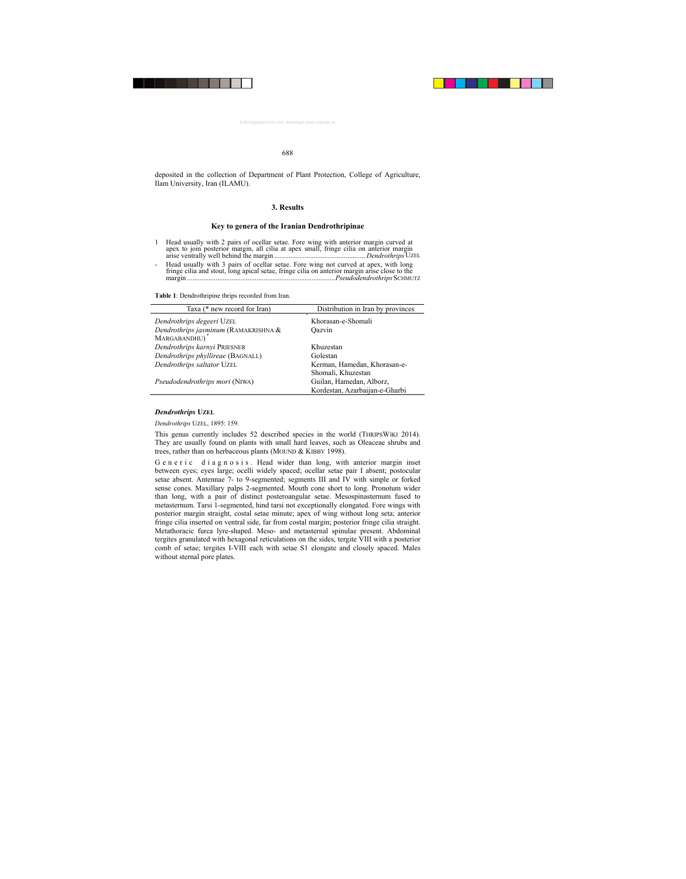#### 688

deposited in the collection of Department of Plant Protection, College of Agriculture, Ilam University, Iran (ILAMU).

#### **3. Results**

#### **Key to genera of the Iranian Dendrothripinae**

- 1 Head usually with 2 pairs of ocellar setae. Fore wing with anterior margin curved at apex to join posterior margin, all cilia at apex small, fringe cilia on anterior margin arise ventrally well behind the margin ................................................... *Dendrothrips* UZEL
- Head usually with 3 pairs of ocellar setae. Fore wing not curved at apex, with long fringe cilia and stout, long apical setae, fringe cilia on anterior margin arise close to the margin ...................................................................................*Pseudodendrothrips* SCHMUTZ

**Table 1**: Dendrothripine thrips recorded from Iran.

| Taxa (* new record for Iran)         | Distribution in Iran by provinces |
|--------------------------------------|-----------------------------------|
| Dendrothrips degeeri UZEL            | Khorasan-e-Shomali                |
| Dendrothrips jasminum (RAMAKRISHNA & | Oazvin                            |
| MARGABANDHU)                         |                                   |
| Dendrothrips karnyi PRIESNER         | Khuzestan                         |
| Dendrothrips phyllireae (BAGNALL)    | Golestan                          |
| Dendrothrips saltator UZEL           | Kerman, Hamedan, Khorasan-e-      |
|                                      | Shomali, Khuzestan                |
| Pseudodendrothrips mori (NIWA)       | Guilan, Hamedan, Alborz,          |
|                                      | Kordestan, Azarbaijan-e-Gharbi    |

#### *Dendrothrips* **UZEL**

#### *Dendrothrips* UZEL, 1895: 159.

This genus currently includes 52 described species in the world (THRIPSWIKI 2014). They are usually found on plants with small hard leaves, such as Oleaceae shrubs and trees, rather than on herbaceous plants (MOUND & KIBBY 1998).

G e n e r i c d i a g n o s i s. Head wider than long, with anterior margin inset between eyes; eyes large; ocelli widely spaced; ocellar setae pair I absent; postocular setae absent. Antennae 7- to 9-segmented; segments III and IV with simple or forked sense cones. Maxillary palps 2-segmented. Mouth cone short to long. Pronotum wider than long, with a pair of distinct posteroangular setae. Mesospinasternum fused to metasternum. Tarsi 1-segmented, hind tarsi not exceptionally elongated. Fore wings with posterior margin straight, costal setae minute; apex of wing without long seta; anterior fringe cilia inserted on ventral side, far from costal margin; posterior fringe cilia straight. Metathoracic furca lyre-shaped. Meso- and metasternal spinulae present. Abdominal tergites granulated with hexagonal reticulations on the sides, tergite VIII with a posterior comb of setae; tergites I-VIII each with setae S1 elongate and closely spaced. Males without sternal pore plates.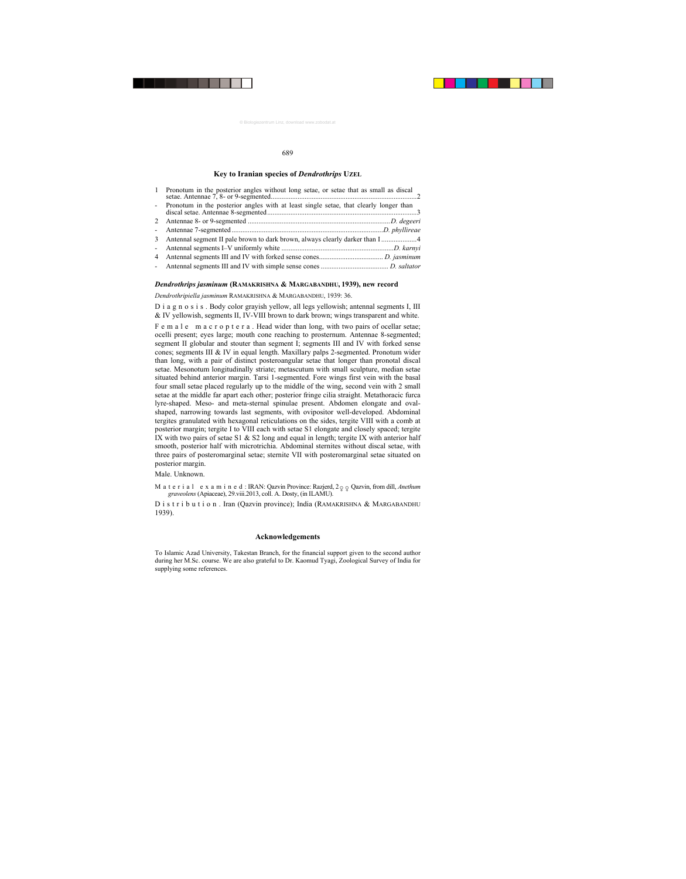#### 689

#### **Key to Iranian species of** *Dendrothrips* **UZEL**

| $\mathbf{1}$ | Pronotum in the posterior angles without long setae, or setae that as small as discal   |  |
|--------------|-----------------------------------------------------------------------------------------|--|
|              | - Pronotum in the posterior angles with at least single setae, that clearly longer than |  |
|              |                                                                                         |  |
|              |                                                                                         |  |
|              |                                                                                         |  |
|              |                                                                                         |  |
|              |                                                                                         |  |
|              |                                                                                         |  |

#### *Dendrothrips jasminum* **(RAMAKRISHNA & MARGABANDHU, 1939), new record**

*Dendrothripiella jasminum* RAMAKRISHNA & MARGABANDHU, 1939: 36.

D i a g n o s i s . Body color grayish yellow, all legs yellowish; antennal segments I, III & IV yellowish, segments II, IV-VIII brown to dark brown; wings transparent and white.

F e m a l e m a c r o p t e r a . Head wider than long, with two pairs of ocellar setae; ocelli present; eyes large; mouth cone reaching to prosternum. Antennae 8-segmented; segment II globular and stouter than segment I; segments III and IV with forked sense cones; segments III & IV in equal length. Maxillary palps 2-segmented. Pronotum wider than long, with a pair of distinct posteroangular setae that longer than pronotal discal setae. Mesonotum longitudinally striate; metascutum with small sculpture, median setae situated behind anterior margin. Tarsi 1-segmented. Fore wings first vein with the basal four small setae placed regularly up to the middle of the wing, second vein with 2 small setae at the middle far apart each other; posterior fringe cilia straight. Metathoracic furca lyre-shaped. Meso- and meta-sternal spinulae present. Abdomen elongate and ovalshaped, narrowing towards last segments, with ovipositor well-developed. Abdominal tergites granulated with hexagonal reticulations on the sides, tergite VIII with a comb at posterior margin; tergite I to VIII each with setae S1 elongate and closely spaced; tergite IX with two pairs of setae S1 & S2 long and equal in length; tergite IX with anterior half smooth, posterior half with microtrichia. Abdominal sternites without discal setae, with three pairs of posteromarginal setae; sternite VII with posteromarginal setae situated on posterior margin.

Male. Unknown.

M a t e r i a l e x a m i n e d : IRAN: Qazvin Province: Razjerd,  $2 \varphi \varphi$  Qazvin, from dill, *Anethum graveolens* (Apiaceae), 29.viii.2013, coll. A. Dosty, (in ILAMU).

Distribution. Iran (Qazvin province); India (RAMAKRISHNA & MARGABANDHU 1939).

### **Acknowledgements**

To Islamic Azad University, Takestan Branch, for the financial support given to the second author during her M.Sc. course. We are also grateful to Dr. Kaomud Tyagi, Zoological Survey of India for supplying some references.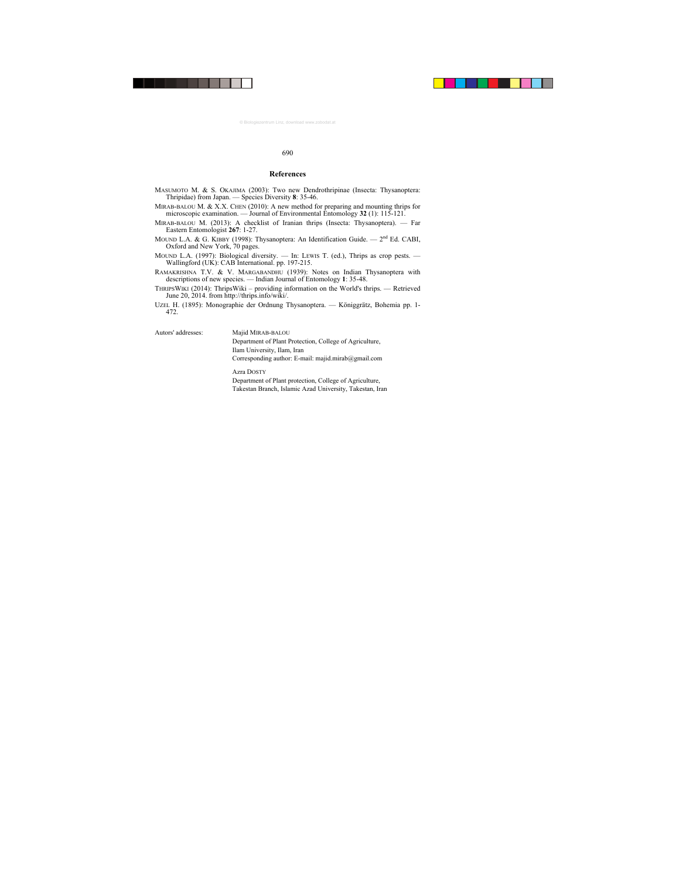#### 690

#### **References**

- MASUMOTO M. & S. OKAJIMA (2003): Two new Dendrothripinae (Insecta: Thysanoptera: Thripidae) from Japan. — Species Diversity **8**: 35-46.
- MIRAB-BALOU M.  $& X.X$ . CHEN (2010): A new method for preparing and mounting thrips for microscopic examination. — Journal of Environmental Entomology **32** (1): 115-121.
- MIRAB-BALOU M. (2013): A checklist of Iranian thrips (Insecta: Thysanoptera). Far Eastern Entomologist **267**: 1-27.
- MOUND L.A. & G. KIBBY (1998): Thysanoptera: An Identification Guide.  $2<sup>nd</sup>$  Ed. CABI, Oxford and New York, 70 pages.
- MOUND L.A. (1997): Biological diversity. In: LEWIS T. (ed.), Thrips as crop pests. Wallingford (UK): CAB International. pp. 197-215.
- RAMAKRISHNA T.V. & V. MARGABANDHU (1939): Notes on Indian Thysanoptera with descriptions of new species. — Indian Journal of Entomology **1**: 35-48.
- THRIPSWIKI (2014): ThripsWiki providing information on the World's thrips. Retrieved June 20, 2014. from http://thrips.info/wiki/.
- UZEL H. (1895): Monographie der Ordnung Thysanoptera. Königgrätz, Bohemia pp. 1- 472.

Autors' addresses: Majid MIRAB-BALOU

Department of Plant Protection, College of Agriculture, Ilam University, Ilam, Iran Corresponding author: E-mail: majid.mirab@gmail.com

Azra DOSTY Department of Plant protection, College of Agriculture, Takestan Branch, Islamic Azad University, Takestan, Iran